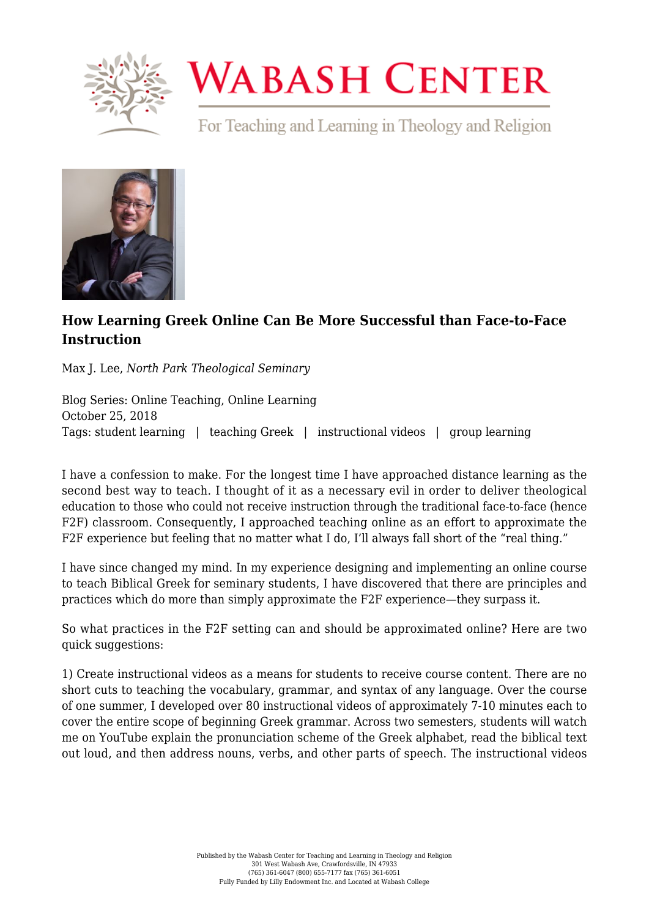

## **WABASH CENTER**

For Teaching and Learning in Theology and Religion



## **[How Learning Greek Online Can Be More Successful than Face-to-Face](https://www.wabashcenter.wabash.edu/2018/10/how-learning-greek-online-can-be-more-successful-than-face-to-face-instruction/) [Instruction](https://www.wabashcenter.wabash.edu/2018/10/how-learning-greek-online-can-be-more-successful-than-face-to-face-instruction/)**

Max J. Lee, *North Park Theological Seminary*

Blog Series: Online Teaching, Online Learning October 25, 2018 Tags: student learning | teaching Greek | instructional videos | group learning

I have a confession to make. For the longest time I have approached distance learning as the second best way to teach. I thought of it as a necessary evil in order to deliver theological education to those who could not receive instruction through the traditional face-to-face (hence F2F) classroom. Consequently, I approached teaching online as an effort to approximate the F2F experience but feeling that no matter what I do, I'll always fall short of the "real thing."

I have since changed my mind. In my experience designing and implementing an online course to teach Biblical Greek for seminary students, I have discovered that there are principles and practices which do more than simply approximate the F2F experience—they surpass it.

So what practices in the F2F setting can and should be approximated online? Here are two quick suggestions:

1) Create instructional videos as a means for students to receive course content. There are no short cuts to teaching the vocabulary, grammar, and syntax of any language. Over the course of one summer, I developed over 80 instructional videos of approximately 7-10 minutes each to cover the entire scope of beginning Greek grammar. Across two semesters, students will watch me on YouTube explain the pronunciation scheme of the Greek alphabet, read the biblical text out loud, and then address nouns, verbs, and other parts of speech. The instructional videos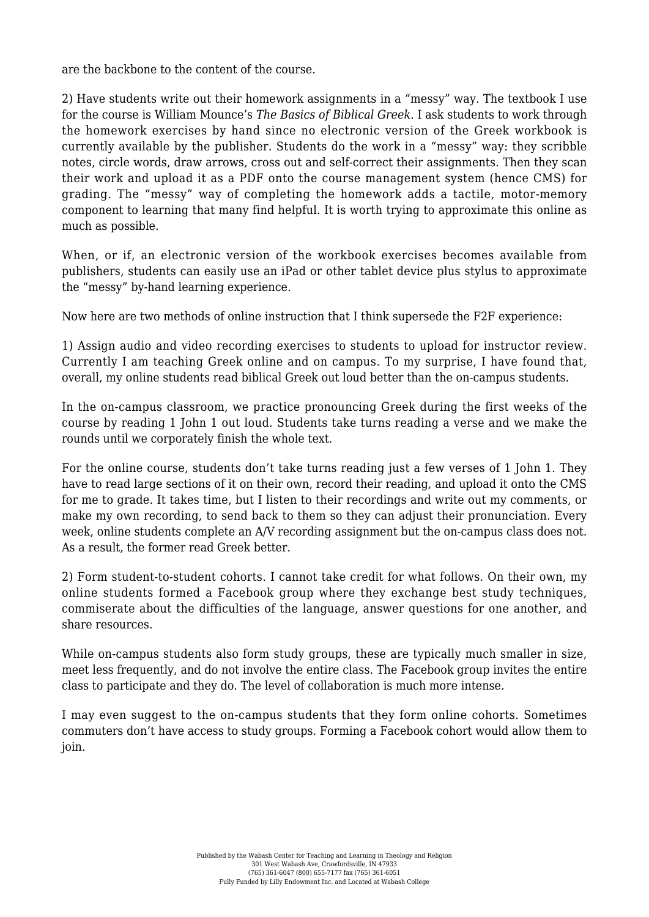are the backbone to the content of the course.

2) Have students write out their homework assignments in a "messy" way. The textbook I use for the course is William Mounce's *The Basics of Biblical Greek*. I ask students to work through the homework exercises by hand since no electronic version of the Greek workbook is currently available by the publisher. Students do the work in a "messy" way: they scribble notes, circle words, draw arrows, cross out and self-correct their assignments. Then they scan their work and upload it as a PDF onto the course management system (hence CMS) for grading. The "messy" way of completing the homework adds a tactile, motor-memory component to learning that many find helpful. It is worth trying to approximate this online as much as possible.

When, or if, an electronic version of the workbook exercises becomes available from publishers, students can easily use an iPad or other tablet device plus stylus to approximate the "messy" by-hand learning experience.

Now here are two methods of online instruction that I think supersede the F2F experience:

1) Assign audio and video recording exercises to students to upload for instructor review. Currently I am teaching Greek online and on campus. To my surprise, I have found that, overall, my online students read biblical Greek out loud better than the on-campus students.

In the on-campus classroom, we practice pronouncing Greek during the first weeks of the course by reading 1 John 1 out loud. Students take turns reading a verse and we make the rounds until we corporately finish the whole text.

For the online course, students don't take turns reading just a few verses of 1 John 1. They have to read large sections of it on their own, record their reading, and upload it onto the CMS for me to grade. It takes time, but I listen to their recordings and write out my comments, or make my own recording, to send back to them so they can adjust their pronunciation. Every week, online students complete an A/V recording assignment but the on-campus class does not. As a result, the former read Greek better.

2) Form student-to-student cohorts. I cannot take credit for what follows. On their own, my online students formed a Facebook group where they exchange best study techniques, commiserate about the difficulties of the language, answer questions for one another, and share resources.

While on-campus students also form study groups, these are typically much smaller in size, meet less frequently, and do not involve the entire class. The Facebook group invites the entire class to participate and they do. The level of collaboration is much more intense.

I may even suggest to the on-campus students that they form online cohorts. Sometimes commuters don't have access to study groups. Forming a Facebook cohort would allow them to join.